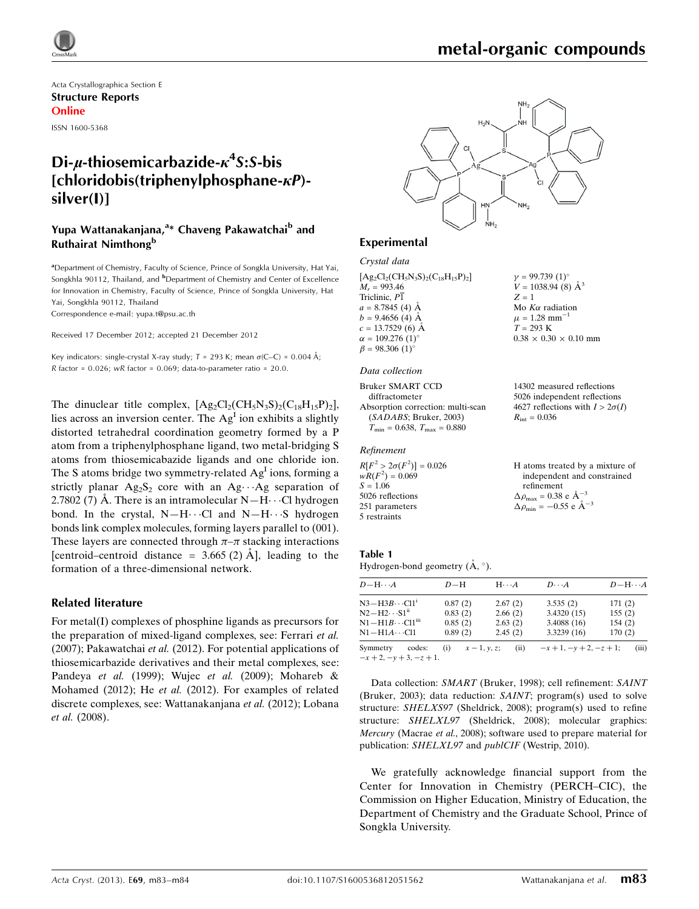

# metal-organic compounds

 $y = 99.739(1)$ °  $V = 1038.94$  (8)  $\AA^3$ 

Mo $K\alpha$  radiation  $\mu = 1.28$  mm<sup>-1</sup>  $T = 293 \text{ K}$ 

 $R_{\text{int}} = 0.036$ 

refinement  $\Delta \rho_{\text{max}} = 0.38 \text{ e A}^{-3}$  $\Delta \rho_{\text{min}} = -0.55$  e  $\AA^{-3}$ 

 $0.38 \times 0.30 \times 0.10$  mm

14302 measured reflections 5026 independent reflections 4627 reflections with  $I > 2\sigma(I)$ 

H atoms treated by a mixture of independent and constrained

 $Z = 1$ 

Acta Crystallographica Section E Structure Reports Online

ISSN 1600-5368

# Di-µ-thiosemicarbazide- $\kappa^4$ S:S-bis  $[chloridobis(trichenvlphosphane- $\kappa$ P)-]$ silver(I)]

## Yupa Wattanakanjana,<sup>a</sup>\* Chaveng Pakawatchai<sup>b</sup> and Ruthairat Nimthong<sup>b</sup>

<sup>a</sup> Department of Chemistry, Faculty of Science, Prince of Songkla University, Hat Yai, Songkhla 90112, Thailand, and <sup>b</sup>Department of Chemistry and Center of Excellence for Innovation in Chemistry, Faculty of Science, Prince of Songkla University, Hat Yai, Songkhla 90112, Thailand

Correspondence e-mail: [yupa.t@psu.ac.th](https://scripts.iucr.org/cgi-bin/cr.cgi?rm=pdfbb&cnor=lh5573&bbid=BB13)

Received 17 December 2012; accepted 21 December 2012

Key indicators: single-crystal X-ray study;  $T = 293$  K; mean  $\sigma$ (C–C) = 0.004 Å; R factor =  $0.026$ ; wR factor =  $0.069$ ; data-to-parameter ratio =  $20.0$ .

The dinuclear title complex,  $[Ag_2Cl_2(CH_5N_3S)_2(C_{18}H_{15}P)_2]$ , lies across an inversion center. The  $Ag<sup>I</sup>$  ion exhibits a slightly distorted tetrahedral coordination geometry formed by a P atom from a triphenylphosphane ligand, two metal-bridging S atoms from thiosemicabazide ligands and one chloride ion. The S atoms bridge two symmetry-related  $Ag<sup>I</sup>$  ions, forming a strictly planar  $Ag_2S_2$  core with an  $Ag \cdots Ag$  separation of 2.7802 (7) Å. There is an intramolecular  $N-H\cdots$ Cl hydrogen bond. In the crystal,  $N-H\cdots Cl$  and  $N-H\cdots S$  hydrogen bonds link complex molecules, forming layers parallel to (001). These layers are connected through  $\pi-\pi$  stacking interactions [centroid–centroid distance =  $3.665$  (2) A<sup> $\AA$ </sup>], leading to the formation of a three-dimensional network.

#### Related literature

For metal(I) complexes of phosphine ligands as precursors for the preparation of mixed-ligand complexes, see: Ferrari et al. (2007); Pakawatchai et al. (2012). For potential applications of thiosemicarbazide derivatives and their metal complexes, see: Pandeya et al. (1999); Wujec et al. (2009); Mohareb & Mohamed (2012); He et al. (2012). For examples of related discrete complexes, see: Wattanakanjana et al. (2012); Lobana et al. (2008).



#### Experimental

#### Crystal data

 $[Ag_2Cl_2(CH_5N_3S)_2(C_{18}H_{15}P)_2]$  $M_r = 993.46$ Triclinic,  $P\overline{1}$  $a = 8.7845(4)$  Å  $b = 9.4656(4)$  Å  $c = 13.7529(6)$  Å  $\alpha = 109.276$  (1)<sup>o</sup>  $\beta = 98.306$  (1)<sup>o</sup>

#### Data collection

Bruker SMART CCD diffractometer Absorption correction: multi-scan (SADABS; Bruker, 2003)  $T_{\text{min}} = 0.638$ ,  $T_{\text{max}} = 0.880$ 

#### Refinement

 $R[F^2 > 2\sigma(F^2)] = 0.026$ <br>  $wR(F^2) = 0.069$  $S = 1.06$ 5026 reflections 251 parameters 5 restraints

# Table 1

Hydrogen-bond geometry  $(A, \circ)$ .

| $D - H \cdots A$                                 | $D-H$                | $H \cdot \cdot \cdot A$ | $D\cdots A$                | $D - H \cdots A$ |
|--------------------------------------------------|----------------------|-------------------------|----------------------------|------------------|
| $N3 - H3B \cdots Cl1$ <sup>1</sup>               | 0.87(2)              | 2.67(2)                 | 3.535(2)                   | 171(2)           |
| $N2-H2\cdots S1^{ii}$                            | 0.83(2)              | 2.66(2)                 | 3.4320(15)                 | 155(2)           |
| $\rm N1\!-\!H1B\cdots Cl1^{m}$                   | 0.85(2)              | 2.63(2)                 | 3.4088 (16)                | 154(2)           |
| N1—H1 <i>A</i> …Cl1                              | 0.89(2)              | 2.45(2)                 | 3.3239(16)                 | 170(2)           |
| Symmetry<br>codes:<br>$-x+2$ , $-y+3$ , $-z+1$ . | $x - 1, y, z$<br>(i) | (ii)                    | $-x+1$ , $-y+2$ , $-z+1$ ; | (iii)            |

Data collection: SMART (Bruker, 1998); cell refinement: SAINT (Bruker, 2003); data reduction: SAINT; program(s) used to solve structure: SHELXS97 (Sheldrick, 2008); program(s) used to refine structure: SHELXL97 (Sheldrick, 2008); molecular graphics: Mercury (Macrae et al., 2008); software used to prepare material for publication: SHELXL97 and publCIF (Westrip, 2010).

We gratefully acknowledge financial support from the Center for Innovation in Chemistry (PERCH–CIC), the Commission on Higher Education, Ministry of Education, the Department of Chemistry and the Graduate School, Prince of Songkla University.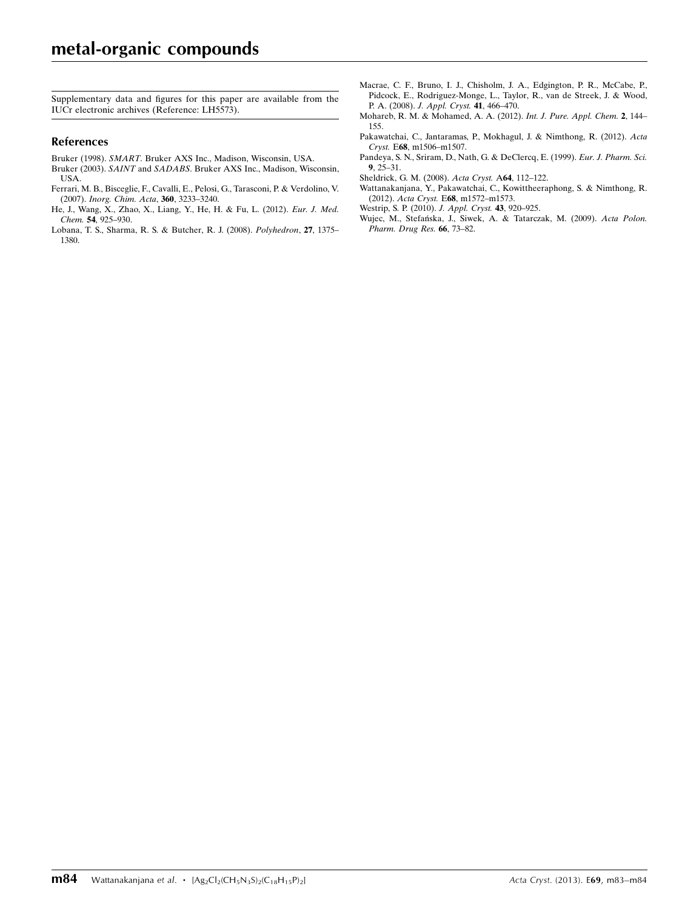Supplementary data and figures for this paper are available from the IUCr electronic archives (Reference: LH5573).

#### References

- Bruker (1998). SMART[. Bruker AXS Inc., Madison, Wisconsin, USA.](https://scripts.iucr.org/cgi-bin/cr.cgi?rm=pdfbb&cnor=lh5573&bbid=BB1)
- Bruker (2003). SAINT and SADABS[. Bruker AXS Inc., Madison, Wisconsin,](https://scripts.iucr.org/cgi-bin/cr.cgi?rm=pdfbb&cnor=lh5573&bbid=BB2) [USA.](https://scripts.iucr.org/cgi-bin/cr.cgi?rm=pdfbb&cnor=lh5573&bbid=BB2)
- [Ferrari, M. B., Bisceglie, F., Cavalli, E., Pelosi, G., Tarasconi, P. & Verdolino, V.](https://scripts.iucr.org/cgi-bin/cr.cgi?rm=pdfbb&cnor=lh5573&bbid=BB3) (2007). [Inorg. Chim. Acta](https://scripts.iucr.org/cgi-bin/cr.cgi?rm=pdfbb&cnor=lh5573&bbid=BB3), 360, 3233–3240.
- [He, J., Wang, X., Zhao, X., Liang, Y., He, H. & Fu, L. \(2012\).](https://scripts.iucr.org/cgi-bin/cr.cgi?rm=pdfbb&cnor=lh5573&bbid=BB4) Eur. J. Med. Chem. 54[, 925–930.](https://scripts.iucr.org/cgi-bin/cr.cgi?rm=pdfbb&cnor=lh5573&bbid=BB4)
- [Lobana, T. S., Sharma, R. S. & Butcher, R. J. \(2008\).](https://scripts.iucr.org/cgi-bin/cr.cgi?rm=pdfbb&cnor=lh5573&bbid=BB5) Polyhedron, 27, 1375– [1380.](https://scripts.iucr.org/cgi-bin/cr.cgi?rm=pdfbb&cnor=lh5573&bbid=BB5)
- [Macrae, C. F., Bruno, I. J., Chisholm, J. A., Edgington, P. R., McCabe, P.,](https://scripts.iucr.org/cgi-bin/cr.cgi?rm=pdfbb&cnor=lh5573&bbid=BB6) [Pidcock, E., Rodriguez-Monge, L., Taylor, R., van de Streek, J. & Wood,](https://scripts.iucr.org/cgi-bin/cr.cgi?rm=pdfbb&cnor=lh5573&bbid=BB6) P. A. (2008). [J. Appl. Cryst.](https://scripts.iucr.org/cgi-bin/cr.cgi?rm=pdfbb&cnor=lh5573&bbid=BB6) 41, 466–470.
- [Mohareb, R. M. & Mohamed, A. A. \(2012\).](https://scripts.iucr.org/cgi-bin/cr.cgi?rm=pdfbb&cnor=lh5573&bbid=BB7) Int. J. Pure. Appl. Chem. 2, 144– [155.](https://scripts.iucr.org/cgi-bin/cr.cgi?rm=pdfbb&cnor=lh5573&bbid=BB7)
- [Pakawatchai, C., Jantaramas, P., Mokhagul, J. & Nimthong, R. \(2012\).](https://scripts.iucr.org/cgi-bin/cr.cgi?rm=pdfbb&cnor=lh5573&bbid=BB8) Acta Cryst. E68[, m1506–m1507.](https://scripts.iucr.org/cgi-bin/cr.cgi?rm=pdfbb&cnor=lh5573&bbid=BB8)
- [Pandeya, S. N., Sriram, D., Nath, G. & DeClercq, E. \(1999\).](https://scripts.iucr.org/cgi-bin/cr.cgi?rm=pdfbb&cnor=lh5573&bbid=BB9) Eur. J. Pharm. Sci. 9[, 25–31.](https://scripts.iucr.org/cgi-bin/cr.cgi?rm=pdfbb&cnor=lh5573&bbid=BB9)
- [Sheldrick, G. M. \(2008\).](https://scripts.iucr.org/cgi-bin/cr.cgi?rm=pdfbb&cnor=lh5573&bbid=BB10) Acta Cryst. A64, 112–122.
- [Wattanakanjana, Y., Pakawatchai, C., Kowittheeraphong, S. & Nimthong, R.](https://scripts.iucr.org/cgi-bin/cr.cgi?rm=pdfbb&cnor=lh5573&bbid=BB11) (2012). Acta Cryst. E68[, m1572–m1573.](https://scripts.iucr.org/cgi-bin/cr.cgi?rm=pdfbb&cnor=lh5573&bbid=BB11)
- [Westrip, S. P. \(2010\).](https://scripts.iucr.org/cgi-bin/cr.cgi?rm=pdfbb&cnor=lh5573&bbid=BB12) J. Appl. Cryst. 43, 920–925.
- [Wujec, M., Stefan´ska, J., Siwek, A. & Tatarczak, M. \(2009\).](https://scripts.iucr.org/cgi-bin/cr.cgi?rm=pdfbb&cnor=lh5573&bbid=BB13) Acta Polon. [Pharm. Drug Res.](https://scripts.iucr.org/cgi-bin/cr.cgi?rm=pdfbb&cnor=lh5573&bbid=BB13) 66, 73–82.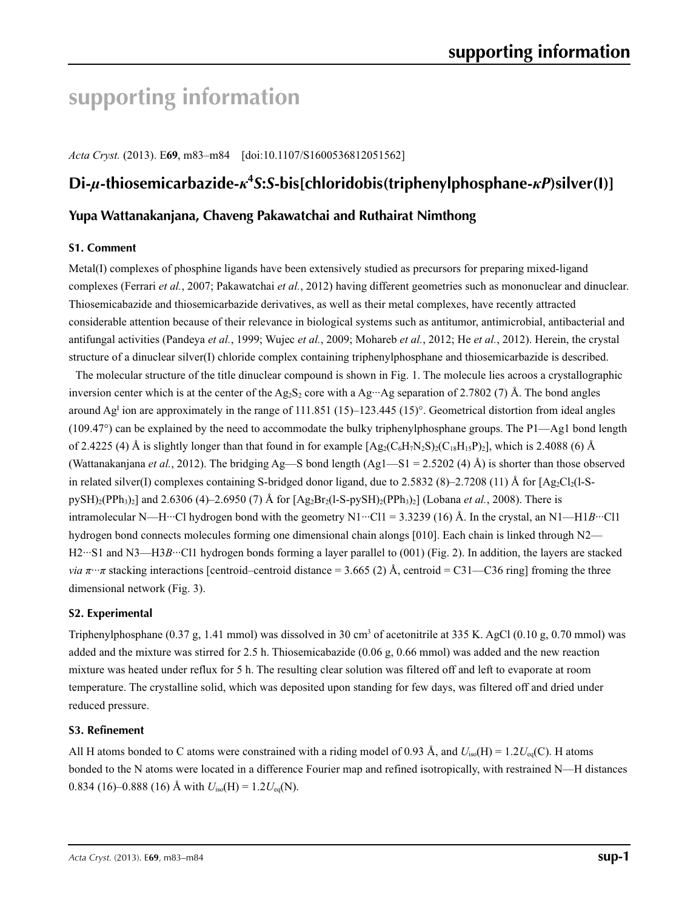# **supporting information**

*Acta Cryst.* (2013). E**69**, m83–m84 [doi:10.1107/S1600536812051562]

# **Di-***µ***-thiosemicarbazide-***κ***<sup>4</sup>** *S***:***S***-bis[chloridobis(triphenylphosphane-***κP***)silver(I)]**

## **Yupa Wattanakanjana, Chaveng Pakawatchai and Ruthairat Nimthong**

#### **S1. Comment**

Metal(I) complexes of phosphine ligands have been extensively studied as precursors for preparing mixed-ligand complexes (Ferrari *et al.*, 2007; Pakawatchai *et al.*, 2012) having different geometries such as mononuclear and dinuclear. Thiosemicabazide and thiosemicarbazide derivatives, as well as their metal complexes, have recently attracted considerable attention because of their relevance in biological systems such as antitumor, antimicrobial, antibacterial and antifungal activities (Pandeya *et al.*, 1999; Wujec *et al.*, 2009; Mohareb *et al.*, 2012; He *et al.*, 2012). Herein, the crystal structure of a dinuclear silver(I) chloride complex containing triphenylphosphane and thiosemicarbazide is described.

The molecular structure of the title dinuclear compound is shown in Fig. 1. The molecule lies acroos a crystallographic inversion center which is at the center of the Ag<sub>2</sub>S<sub>2</sub> core with a Ag<sup> $...$ </sup>Ag separation of 2.7802 (7) Å. The bond angles around Ag<sup>I</sup> ion are approximately in the range of  $111.851$  (15)–123.445 (15)°. Geometrical distortion from ideal angles (109.47°) can be explained by the need to accommodate the bulky triphenylphosphane groups. The P1—Ag1 bond length of 2.4225 (4) Å is slightly longer than that found in for example  $[Ag_2(C_6H_7N_2S)_2(C_{18}H_{15}P)_2]$ , which is 2.4088 (6) Å (Wattanakanjana *et al.*, 2012). The bridging Ag—S bond length (Ag1—S1 = 2.5202 (4) Å) is shorter than those observed in related silver(I) complexes containing S-bridged donor ligand, due to 2.5832 (8)–2.7208 (11) Å for  $[Ag_2Cl_2(1-S-1]$ pySH)<sub>2</sub>(PPh<sub>3</sub>)<sub>2</sub>] and 2.6306 (4)–2.6950 (7) Å for  $[Ag_2Br_2(1-S-pySH)_2(PPh_3)_2]$  (Lobana *et al.*, 2008). There is intramolecular N—H<sup> $...$ </sup>Cl hydrogen bond with the geometry N1 $\cdot$ ··Cl1 = 3.3239 (16) Å. In the crystal, an N1—H1*B*···Cl1 hydrogen bond connects molecules forming one dimensional chain alongs [010]. Each chain is linked through N2— H2···S1 and N3—H3*B*···Cl1 hydrogen bonds forming a layer parallel to (001) (Fig. 2). In addition, the layers are stacked *via*  $\pi \cdot \pi$  stacking interactions [centroid–centroid distance = 3.665 (2) Å, centroid = C31—C36 ring] froming the three dimensional network (Fig. 3).

## **S2. Experimental**

Triphenylphosphane  $(0.37 \text{ g}, 1.41 \text{ mmol})$  was dissolved in 30 cm<sup>3</sup> of acetonitrile at 335 K. AgCl  $(0.10 \text{ g}, 0.70 \text{ mmol})$  was added and the mixture was stirred for 2.5 h. Thiosemicabazide (0.06 g, 0.66 mmol) was added and the new reaction mixture was heated under reflux for 5 h. The resulting clear solution was filtered off and left to evaporate at room temperature. The crystalline solid, which was deposited upon standing for few days, was filtered off and dried under reduced pressure.

#### **S3. Refinement**

All H atoms bonded to C atoms were constrained with a riding model of 0.93 Å, and  $U_{iso}(H) = 1.2U_{eq}(C)$ . H atoms bonded to the N atoms were located in a difference Fourier map and refined isotropically, with restrained N—H distances 0.834 (16)–0.888 (16) Å with  $U_{iso}(H) = 1.2U_{eq}(N)$ .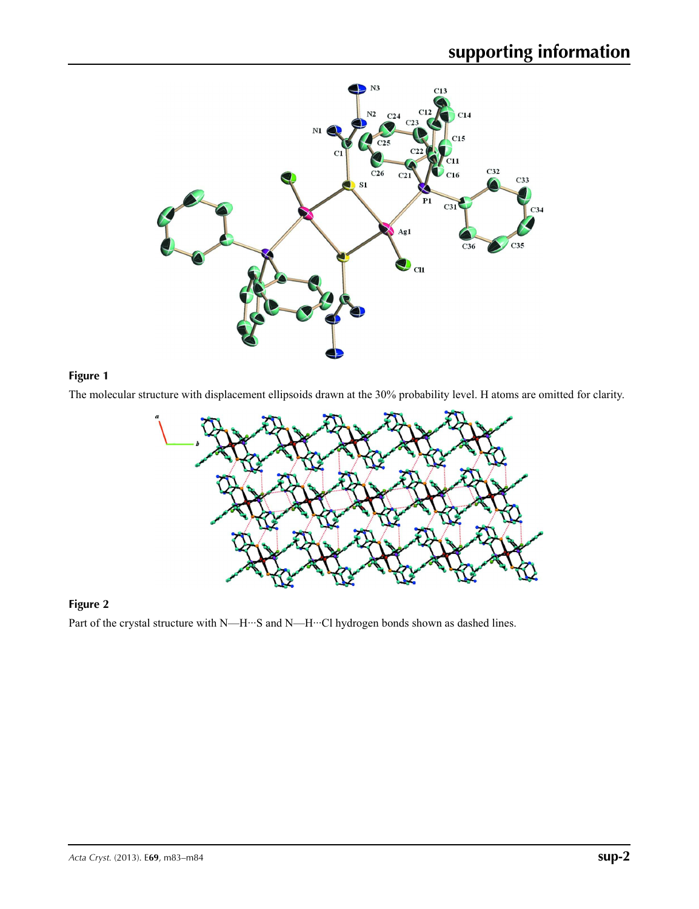

## **Figure 1**

The molecular structure with displacement ellipsoids drawn at the 30% probability level. H atoms are omitted for clarity.



## **Figure 2**

Part of the crystal structure with N—H···S and N—H···Cl hydrogen bonds shown as dashed lines.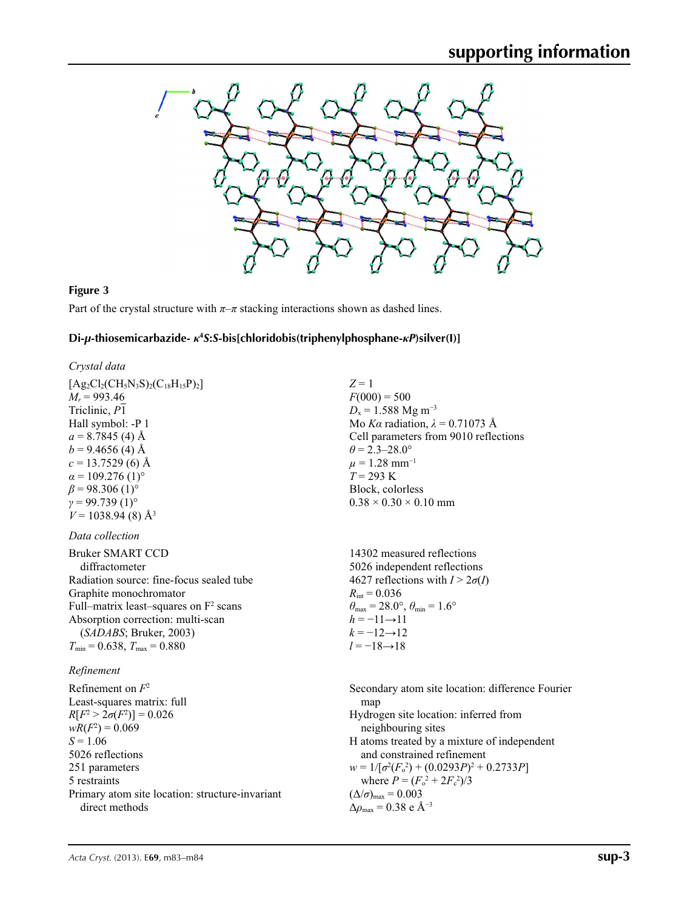

#### **Figure 3**

Part of the crystal structure with  $\pi-\pi$  stacking interactions shown as dashed lines.

## **Di-***µ***-thiosemicarbazide-** *κ***<sup>4</sup>** *S***:***S***-bis[chloridobis(triphenylphosphane-***κP***)silver(I)]**

#### *Crystal data*

 $[Ag_2Cl_2(CH_5N_3S)_2(C_{18}H_{15}P)_2]$  $M_r = 993.46$ Triclinic, *P*1 Hall symbol: -P 1  $a = 8.7845(4)$  Å  $b = 9.4656(4)$  Å  $c = 13.7529(6)$  Å  $\alpha$  = 109.276 (1)<sup>o</sup>  $\beta$  = 98.306 (1)<sup>o</sup>  $γ = 99.739(1)°$  $V = 1038.94(8)$  Å<sup>3</sup>

#### *Data collection*

| <b>Bruker SMART CCD</b>                  |
|------------------------------------------|
| diffractometer                           |
| Radiation source: fine-focus sealed tube |
| Graphite monochromator                   |
| Full–matrix least–squares on $F2$ scans  |
| Absorption correction: multi-scan        |
| (SADABS; Bruker, 2003)                   |
| $T_{\min}$ = 0.638, $T_{\max}$ = 0.880   |

#### *Refinement*

Refinement on *F*<sup>2</sup> Least-squares matrix: full  $R[F^2 > 2\sigma(F^2)] = 0.026$  $wR(F^2) = 0.069$  $S = 1.06$ 5026 reflections 251 parameters 5 restraints Primary atom site location: structure-invariant direct methods

*Z* = 1  $F(000) = 500$  $D_x = 1.588$  Mg m<sup>-3</sup> Mo *Kα* radiation,  $\lambda = 0.71073$  Å Cell parameters from 9010 reflections  $\theta$  = 2.3–28.0°  $\mu = 1.28$  mm<sup>-1</sup> *T* = 293 K Block, colorless  $0.38 \times 0.30 \times 0.10$  mm

14302 measured reflections 5026 independent reflections 4627 reflections with  $I > 2\sigma(I)$  $R_{\text{int}} = 0.036$  $\theta_{\text{max}} = 28.0^{\circ}, \theta_{\text{min}} = 1.6^{\circ}$  $h = -11 \rightarrow 11$  $k = -12 \rightarrow 12$ *l* = −18→18

Secondary atom site location: difference Fourier map Hydrogen site location: inferred from neighbouring sites H atoms treated by a mixture of independent and constrained refinement  $w = 1/[\sigma^2 (F_o^2) + (0.0293P)^2 + 0.2733P]$ where  $P = (F_o^2 + 2F_c^2)/3$  $(\Delta/\sigma)_{\text{max}} = 0.003$  $\Delta\rho_{\text{max}} = 0.38$  e Å<sup>-3</sup>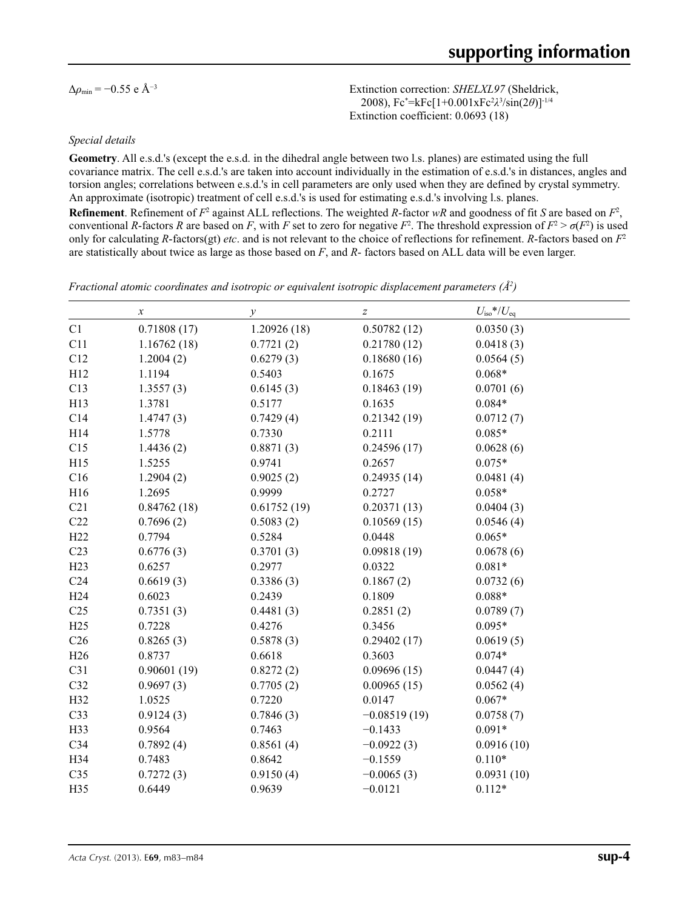Δ*ρ*min = −0.55 e Å−3 Extinction correction: *SHELXL97* (Sheldrick, 2008), Fc\* =kFc[1+0.001xFc2 *λ*3 /sin(2*θ*)]-1/4 Extinction coefficient: 0.0693 (18)

#### *Special details*

**Geometry**. All e.s.d.'s (except the e.s.d. in the dihedral angle between two l.s. planes) are estimated using the full covariance matrix. The cell e.s.d.'s are taken into account individually in the estimation of e.s.d.'s in distances, angles and torsion angles; correlations between e.s.d.'s in cell parameters are only used when they are defined by crystal symmetry. An approximate (isotropic) treatment of cell e.s.d.'s is used for estimating e.s.d.'s involving l.s. planes. **Refinement**. Refinement of  $F^2$  against ALL reflections. The weighted *R*-factor  $wR$  and goodness of fit *S* are based on  $F^2$ , conventional *R*-factors *R* are based on *F*, with *F* set to zero for negative  $F^2$ . The threshold expression of  $F^2 > \sigma(F^2)$  is used only for calculating *R*-factors(gt) *etc*. and is not relevant to the choice of reflections for refinement. *R*-factors based on *F*<sup>2</sup> are statistically about twice as large as those based on *F*, and *R*- factors based on ALL data will be even larger.

*Fractional atomic coordinates and isotropic or equivalent isotropic displacement parameters (Å<sup>2</sup>)* 

|                 | $\boldsymbol{x}$ | $\mathcal{V}$ | $\boldsymbol{Z}$ | $U_{\rm iso}$ */ $U_{\rm eq}$ |  |
|-----------------|------------------|---------------|------------------|-------------------------------|--|
| C1              | 0.71808(17)      | 1.20926(18)   | 0.50782(12)      | 0.0350(3)                     |  |
| C11             | 1.16762(18)      | 0.7721(2)     | 0.21780(12)      | 0.0418(3)                     |  |
| C12             | 1.2004(2)        | 0.6279(3)     | 0.18680(16)      | 0.0564(5)                     |  |
| H12             | 1.1194           | 0.5403        | 0.1675           | $0.068*$                      |  |
| C13             | 1.3557(3)        | 0.6145(3)     | 0.18463(19)      | 0.0701(6)                     |  |
| H13             | 1.3781           | 0.5177        | 0.1635           | $0.084*$                      |  |
| C14             | 1.4747(3)        | 0.7429(4)     | 0.21342(19)      | 0.0712(7)                     |  |
| H14             | 1.5778           | 0.7330        | 0.2111           | $0.085*$                      |  |
| C15             | 1.4436(2)        | 0.8871(3)     | 0.24596(17)      | 0.0628(6)                     |  |
| H15             | 1.5255           | 0.9741        | 0.2657           | $0.075*$                      |  |
| C16             | 1.2904(2)        | 0.9025(2)     | 0.24935(14)      | 0.0481(4)                     |  |
| H16             | 1.2695           | 0.9999        | 0.2727           | $0.058*$                      |  |
| C21             | 0.84762(18)      | 0.61752(19)   | 0.20371(13)      | 0.0404(3)                     |  |
| C22             | 0.7696(2)        | 0.5083(2)     | 0.10569(15)      | 0.0546(4)                     |  |
| H22             | 0.7794           | 0.5284        | 0.0448           | $0.065*$                      |  |
| C23             | 0.6776(3)        | 0.3701(3)     | 0.09818(19)      | 0.0678(6)                     |  |
| H23             | 0.6257           | 0.2977        | 0.0322           | $0.081*$                      |  |
| C <sub>24</sub> | 0.6619(3)        | 0.3386(3)     | 0.1867(2)        | 0.0732(6)                     |  |
| H <sub>24</sub> | 0.6023           | 0.2439        | 0.1809           | $0.088*$                      |  |
| C <sub>25</sub> | 0.7351(3)        | 0.4481(3)     | 0.2851(2)        | 0.0789(7)                     |  |
| H25             | 0.7228           | 0.4276        | 0.3456           | $0.095*$                      |  |
| C <sub>26</sub> | 0.8265(3)        | 0.5878(3)     | 0.29402(17)      | 0.0619(5)                     |  |
| H26             | 0.8737           | 0.6618        | 0.3603           | $0.074*$                      |  |
| C31             | 0.90601(19)      | 0.8272(2)     | 0.09696(15)      | 0.0447(4)                     |  |
| C32             | 0.9697(3)        | 0.7705(2)     | 0.00965(15)      | 0.0562(4)                     |  |
| H32             | 1.0525           | 0.7220        | 0.0147           | $0.067*$                      |  |
| C33             | 0.9124(3)        | 0.7846(3)     | $-0.08519(19)$   | 0.0758(7)                     |  |
| H33             | 0.9564           | 0.7463        | $-0.1433$        | $0.091*$                      |  |
| C <sub>34</sub> | 0.7892(4)        | 0.8561(4)     | $-0.0922(3)$     | 0.0916(10)                    |  |
| H34             | 0.7483           | 0.8642        | $-0.1559$        | $0.110*$                      |  |
| C <sub>35</sub> | 0.7272(3)        | 0.9150(4)     | $-0.0065(3)$     | 0.0931(10)                    |  |
| H35             | 0.6449           | 0.9639        | $-0.0121$        | $0.112*$                      |  |
|                 |                  |               |                  |                               |  |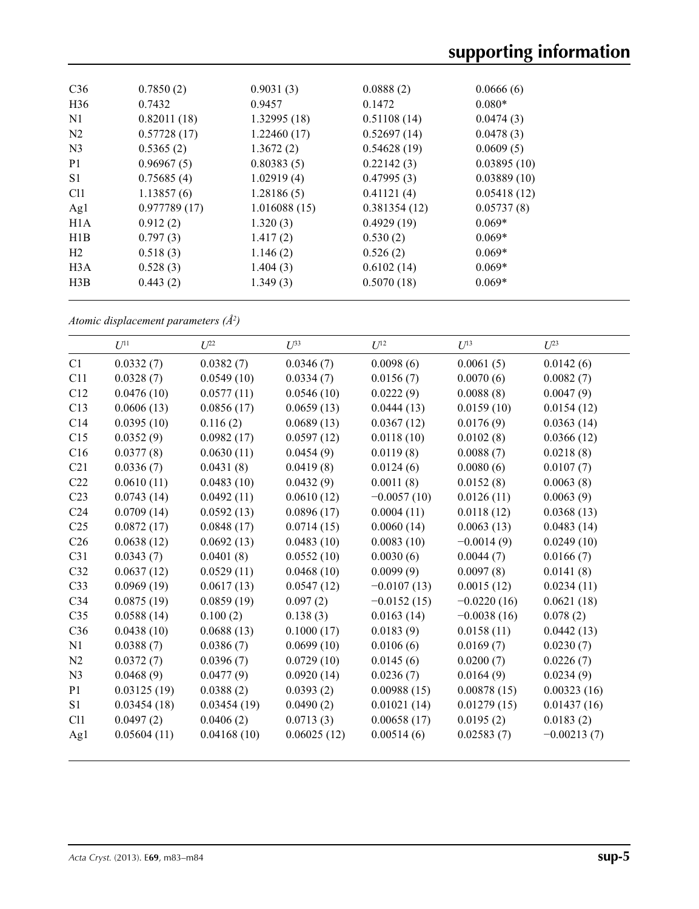| C <sub>36</sub> | 0.7850(2)    | 0.9031(3)    | 0.0888(2)    | 0.0666(6)   |  |
|-----------------|--------------|--------------|--------------|-------------|--|
| H <sub>36</sub> | 0.7432       | 0.9457       | 0.1472       | $0.080*$    |  |
| N1              | 0.82011(18)  | 1.32995(18)  | 0.51108(14)  | 0.0474(3)   |  |
| N <sub>2</sub>  | 0.57728(17)  | 1.22460(17)  | 0.52697(14)  | 0.0478(3)   |  |
| N <sub>3</sub>  | 0.5365(2)    | 1.3672(2)    | 0.54628(19)  | 0.0609(5)   |  |
| P <sub>1</sub>  | 0.96967(5)   | 0.80383(5)   | 0.22142(3)   | 0.03895(10) |  |
| S <sub>1</sub>  | 0.75685(4)   | 1.02919(4)   | 0.47995(3)   | 0.03889(10) |  |
| C <sub>11</sub> | 1.13857(6)   | 1.28186(5)   | 0.41121(4)   | 0.05418(12) |  |
| Ag1             | 0.977789(17) | 1.016088(15) | 0.381354(12) | 0.05737(8)  |  |
| H1A             | 0.912(2)     | 1.320(3)     | 0.4929(19)   | $0.069*$    |  |
| H1B             | 0.797(3)     | 1.417(2)     | 0.530(2)     | $0.069*$    |  |
| H <sub>2</sub>  | 0.518(3)     | 1.146(2)     | 0.526(2)     | $0.069*$    |  |
| H3A             | 0.528(3)     | 1.404(3)     | 0.6102(14)   | $0.069*$    |  |
| H3B             | 0.443(2)     | 1.349(3)     | 0.5070(18)   | $0.069*$    |  |
|                 |              |              |              |             |  |

*Atomic displacement parameters (Å2 )*

|                 | $U^{11}$    | $U^{22}$    | $U^{33}$    | $U^{12}$      | $U^{13}$      | $U^{23}$      |
|-----------------|-------------|-------------|-------------|---------------|---------------|---------------|
| C1              | 0.0332(7)   | 0.0382(7)   | 0.0346(7)   | 0.0098(6)     | 0.0061(5)     | 0.0142(6)     |
| C11             | 0.0328(7)   | 0.0549(10)  | 0.0334(7)   | 0.0156(7)     | 0.0070(6)     | 0.0082(7)     |
| C12             | 0.0476(10)  | 0.0577(11)  | 0.0546(10)  | 0.0222(9)     | 0.0088(8)     | 0.0047(9)     |
| C13             | 0.0606(13)  | 0.0856(17)  | 0.0659(13)  | 0.0444(13)    | 0.0159(10)    | 0.0154(12)    |
| C14             | 0.0395(10)  | 0.116(2)    | 0.0689(13)  | 0.0367(12)    | 0.0176(9)     | 0.0363(14)    |
| C15             | 0.0352(9)   | 0.0982(17)  | 0.0597(12)  | 0.0118(10)    | 0.0102(8)     | 0.0366(12)    |
| C16             | 0.0377(8)   | 0.0630(11)  | 0.0454(9)   | 0.0119(8)     | 0.0088(7)     | 0.0218(8)     |
| C21             | 0.0336(7)   | 0.0431(8)   | 0.0419(8)   | 0.0124(6)     | 0.0080(6)     | 0.0107(7)     |
| C22             | 0.0610(11)  | 0.0483(10)  | 0.0432(9)   | 0.0011(8)     | 0.0152(8)     | 0.0063(8)     |
| C <sub>23</sub> | 0.0743(14)  | 0.0492(11)  | 0.0610(12)  | $-0.0057(10)$ | 0.0126(11)    | 0.0063(9)     |
| C <sub>24</sub> | 0.0709(14)  | 0.0592(13)  | 0.0896(17)  | 0.0004(11)    | 0.0118(12)    | 0.0368(13)    |
| C <sub>25</sub> | 0.0872(17)  | 0.0848(17)  | 0.0714(15)  | 0.0060(14)    | 0.0063(13)    | 0.0483(14)    |
| C <sub>26</sub> | 0.0638(12)  | 0.0692(13)  | 0.0483(10)  | 0.0083(10)    | $-0.0014(9)$  | 0.0249(10)    |
| C31             | 0.0343(7)   | 0.0401(8)   | 0.0552(10)  | 0.0030(6)     | 0.0044(7)     | 0.0166(7)     |
| C32             | 0.0637(12)  | 0.0529(11)  | 0.0468(10)  | 0.0099(9)     | 0.0097(8)     | 0.0141(8)     |
| C <sub>33</sub> | 0.0969(19)  | 0.0617(13)  | 0.0547(12)  | $-0.0107(13)$ | 0.0015(12)    | 0.0234(11)    |
| C34             | 0.0875(19)  | 0.0859(19)  | 0.097(2)    | $-0.0152(15)$ | $-0.0220(16)$ | 0.0621(18)    |
| C <sub>35</sub> | 0.0588(14)  | 0.100(2)    | 0.138(3)    | 0.0163(14)    | $-0.0038(16)$ | 0.078(2)      |
| C36             | 0.0438(10)  | 0.0688(13)  | 0.1000(17)  | 0.0183(9)     | 0.0158(11)    | 0.0442(13)    |
| N1              | 0.0388(7)   | 0.0386(7)   | 0.0699(10)  | 0.0106(6)     | 0.0169(7)     | 0.0230(7)     |
| N <sub>2</sub>  | 0.0372(7)   | 0.0396(7)   | 0.0729(10)  | 0.0145(6)     | 0.0200(7)     | 0.0226(7)     |
| N <sub>3</sub>  | 0.0468(9)   | 0.0477(9)   | 0.0920(14)  | 0.0236(7)     | 0.0164(9)     | 0.0234(9)     |
| P <sub>1</sub>  | 0.03125(19) | 0.0388(2)   | 0.0393(2)   | 0.00988(15)   | 0.00878(15)   | 0.00323(16)   |
| S1              | 0.03454(18) | 0.03454(19) | 0.0490(2)   | 0.01021(14)   | 0.01279(15)   | 0.01437(16)   |
| Cl1             | 0.0497(2)   | 0.0406(2)   | 0.0713(3)   | 0.00658(17)   | 0.0195(2)     | 0.0183(2)     |
| Ag1             | 0.05604(11) | 0.04168(10) | 0.06025(12) | 0.00514(6)    | 0.02583(7)    | $-0.00213(7)$ |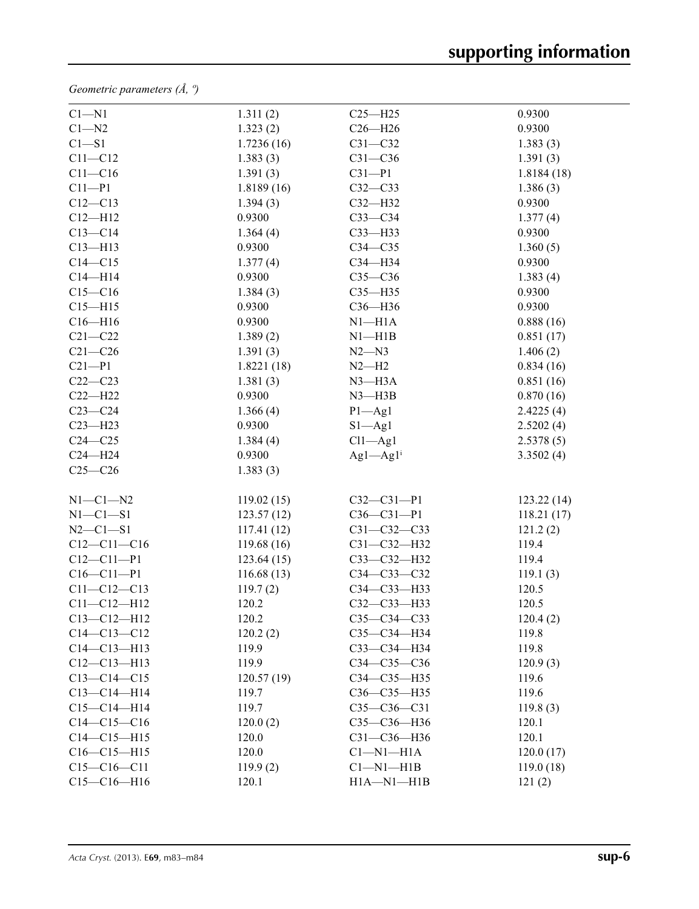*Geometric parameters (Å, º)*

| $C1 - N1$         | 1.311(2)   | $C25 - H25$              | 0.9300     |
|-------------------|------------|--------------------------|------------|
| $C1 - N2$         | 1.323(2)   | $C26 - H26$              | 0.9300     |
| $C1 - S1$         | 1.7236(16) | $C31 - C32$              | 1.383(3)   |
| $C11 - C12$       | 1.383(3)   | $C31 - C36$              | 1.391(3)   |
| $C11 - C16$       | 1.391(3)   | $C31 - P1$               | 1.8184(18) |
| $C11 - P1$        | 1.8189(16) | $C32-C33$                | 1.386(3)   |
| $C12 - C13$       | 1.394(3)   | C32-H32                  | 0.9300     |
| $C12 - H12$       | 0.9300     | $C33-C34$                | 1.377(4)   |
| $C13 - C14$       | 1.364(4)   | $C33$ -H33               | 0.9300     |
| $C13 - H13$       | 0.9300     | $C34 - C35$              | 1.360(5)   |
| $C14 - C15$       | 1.377(4)   | C34-H34                  | 0.9300     |
| $C14 - H14$       | 0.9300     | $C35-C36$                | 1.383(4)   |
| $C15 - C16$       | 1.384(3)   | C35-H35                  | 0.9300     |
| $C15 - H15$       | 0.9300     | $C36 - H36$              | 0.9300     |
| $C16 - H16$       | 0.9300     | $N1 - H1A$               | 0.888(16)  |
| $C21 - C22$       | 1.389(2)   | $N1 - H1B$               | 0.851(17)  |
| $C21 - C26$       | 1.391(3)   | $N2 - N3$                | 1.406(2)   |
| $C21 - P1$        | 1.8221(18) | $N2-H2$                  | 0.834(16)  |
| $C22-C23$         | 1.381(3)   | $N3 - H3A$               | 0.851(16)  |
| $C22 - H22$       | 0.9300     | $N3$ —H $3B$             | 0.870(16)  |
| $C23-C24$         | 1.366(4)   | $P1 - Ag1$               | 2.4225(4)  |
| $C23 - H23$       | 0.9300     | $S1 - Ag1$               | 2.5202(4)  |
| $C24 - C25$       | 1.384(4)   | $Cl1 - Ag1$              | 2.5378(5)  |
| $C24 - H24$       | 0.9300     | $Ag1 - Ag1$ <sup>i</sup> | 3.3502(4)  |
| $C25-C26$         | 1.383(3)   |                          |            |
| $N1-C1-N2$        | 119.02(15) | $C32 - C31 - P1$         | 123.22(14) |
| $N1-C1-S1$        | 123.57(12) | $C36 - C31 - P1$         | 118.21(17) |
| $N2 - C1 - S1$    | 117.41(12) | C31-C32-C33              | 121.2(2)   |
| $C12 - C11 - C16$ | 119.68(16) | C31-C32-H32              | 119.4      |
| $C12 - C11 - P1$  | 123.64(15) | C33-C32-H32              | 119.4      |
| $C16 - C11 - P1$  | 116.68(13) | C34-C33-C32              | 119.1(3)   |
| $C11 - C12 - C13$ | 119.7(2)   | C34-C33-H33              | 120.5      |
| $C11 - C12 - H12$ | 120.2      | C32-C33-H33              | 120.5      |
| $C13 - C12 - H12$ | 120.2      | $C35-C34-C33$            | 120.4(2)   |
| $C14 - C13 - C12$ | 120.2(2)   | C35-C34-H34              | 119.8      |
| $C14 - C13 - H13$ | 119.9      | C33-C34-H34              | 119.8      |
| $C12 - C13 - H13$ | 119.9      | $C34 - C35 - C36$        | 120.9(3)   |
| $C13 - C14 - C15$ | 120.57(19) | C34-C35-H35              | 119.6      |
| $C13 - C14 - H14$ | 119.7      | C36-C35-H35              | 119.6      |
| $C15 - C14 - H14$ | 119.7      | $C35-C36-C31$            | 119.8(3)   |
| $C14 - C15 - C16$ | 120.0(2)   | C35-C36-H36              | 120.1      |
| $C14 - C15 - H15$ | 120.0      | C31-C36-H36              | 120.1      |
| $C16 - C15 - H15$ | 120.0      | $Cl-M1-H1A$              | 120.0(17)  |
| $C15-C16-C11$     | 119.9(2)   | $Cl-M1-H1B$              | 119.0(18)  |
| $C15-C16-H16$     | 120.1      | $H1A - N1 - H1B$         | 121(2)     |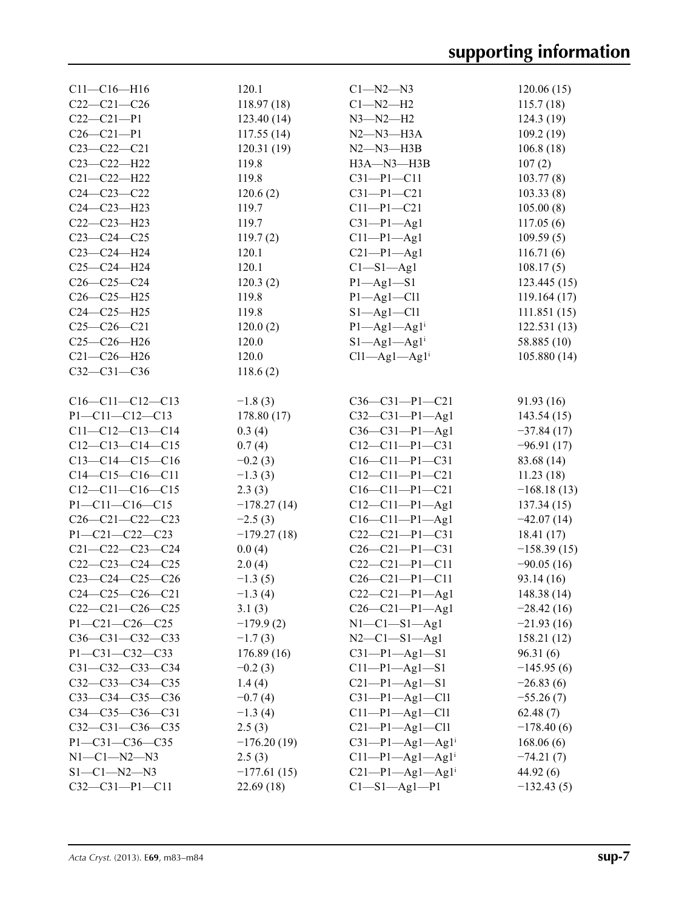| $C11 - C16 - H16$       | 120.1         | $C1 - N2 - N3$                 | 120.06(15)    |
|-------------------------|---------------|--------------------------------|---------------|
| $C22-C21-C26$           | 118.97(18)    | $Cl-M2-H2$                     | 115.7(18)     |
| $C22-C21-P1$            | 123.40(14)    | $N3 - N2 - H2$                 | 124.3(19)     |
| $C26 - C21 - P1$        | 117.55(14)    | $N2 - N3 - H3A$                | 109.2(19)     |
| $C23 - C22 - C21$       | 120.31(19)    | $N2 - N3 - H3B$                | 106.8(18)     |
| $C23 - C22 - H22$       | 119.8         | $H3A - N3 - H3B$               | 107(2)        |
| $C21 - C22 - H22$       | 119.8         | $C31-P1-C11$                   | 103.77(8)     |
| $C24 - C23 - C22$       | 120.6(2)      | $C31-P1-C21$                   | 103.33(8)     |
| $C24 - C23 - H23$       | 119.7         | $C11-P1-C21$                   | 105.00(8)     |
| $C22-C23-H23$           | 119.7         | $C31-P1-Ag1$                   | 117.05(6)     |
| $C23-C24-C25$           | 119.7(2)      | $C11-P1-Ag1$                   | 109.59(5)     |
| C23-C24-H24             | 120.1         | $C21-P1-Ag1$                   | 116.71(6)     |
| $C25-C24-H24$           | 120.1         | Cl—S1—Ag1                      | 108.17(5)     |
| $C26 - C25 - C24$       | 120.3(2)      | $P1 - Ag1 - S1$                | 123.445(15)   |
| $C26 - C25 - H25$       | 119.8         | $P1 - Ag1 - Cl1$               | 119.164 (17)  |
| $C24-C25-H25$           | 119.8         | $S1 - Ag1 - Cl1$               | 111.851(15)   |
| $C25-C26-C21$           | 120.0(2)      | $P1 - Ag1 - Ag1$ <sup>i</sup>  | 122.531(13)   |
| $C25-C26-H26$           | 120.0         | $S1 - Ag1 - Ag1$ <sup>i</sup>  | 58.885 (10)   |
| $C21 - C26 - H26$       | 120.0         | $Cl1 - Ag1 - Ag1$ <sup>i</sup> | 105.880(14)   |
| $C32 - C31 - C36$       | 118.6(2)      |                                |               |
|                         |               |                                |               |
| $C16-C11-C12-C13$       | $-1.8(3)$     | $C36-C31-P1-C21$               | 91.93 (16)    |
| $P1 - C11 - C12 - C13$  | 178.80(17)    | $C32-C31-P1-Ag1$               | 143.54(15)    |
| $C11-C12-C13-C14$       | 0.3(4)        | $C36-C31-P1-Ag1$               | $-37.84(17)$  |
| $C12-C13-C14-C15$       | 0.7(4)        | $C12 - C11 - P1 - C31$         | $-96.91(17)$  |
| $C13-C14-C15-C16$       | $-0.2(3)$     | $C16-C11-P1-C31$               | 83.68 (14)    |
| $C14-C15-C16-C11$       | $-1.3(3)$     | $C12-C11-P1-C21$               | 11.23(18)     |
| $C12-C11-C16-C15$       | 2.3(3)        | $C16-C11-P1-C21$               | $-168.18(13)$ |
| $P1 - C11 - C16 - C15$  | $-178.27(14)$ | $C12 - C11 - P1 - Ag1$         | 137.34(15)    |
| $C26-C21-C22-C23$       | $-2.5(3)$     | $C16-C11-P1-Ag1$               | $-42.07(14)$  |
| P1-C21-C22-C23          | $-179.27(18)$ | $C22-C21-P1-C31$               | 18.41 (17)    |
| $C21 - C22 - C23 - C24$ | 0.0(4)        | $C26-C21-P1-C31$               | $-158.39(15)$ |
| $C22-C23-C24-C25$       | 2.0(4)        | $C22-C21-P1-C11$               | $-90.05(16)$  |
| $C23-C24-C25-C26$       | $-1.3(5)$     | $C26-C21-P1-C11$               | 93.14 (16)    |
| $C24-C25-C26-C21$       | $-1.3(4)$     | $C22-C21-P1-Ag1$               | 148.38(14)    |
| $C22-C21-C26-C25$       | 3.1(3)        | $C26 - C21 - P1 - Ag1$         | $-28.42(16)$  |
| $P1 - C21 - C26 - C25$  | $-179.9(2)$   | $N1-C1-S1-Ag1$                 | $-21.93(16)$  |
| $C36-C31-C32-C33$       | $-1.7(3)$     | $N2-C1-S1-Ag1$                 | 158.21(12)    |
| P1-C31-C32-C33          | 176.89(16)    | $C31-P1-Ag1-S1$                | 96.31(6)      |
| $C31 - C32 - C33 - C34$ | $-0.2(3)$     | $C11-P1-Ag1-S1$                | $-145.95(6)$  |
| $C32-C33-C34-C35$       | 1.4(4)        | $C21-P1-Ag1-S1$                | $-26.83(6)$   |
| C33-C34-C35-C36         | $-0.7(4)$     | $C31-P1-Ag1-C11$               | $-55.26(7)$   |
| $C34-C35-C36-C31$       | $-1.3(4)$     | $C11-P1-Ag1-C11$               | 62.48(7)      |
| $C32-C31-C36-C35$       | 2.5(3)        | $C21-P1-Ag1-C11$               | $-178.40(6)$  |
| $P1 - C31 - C36 - C35$  | $-176.20(19)$ | $C31-P1-Ag1-Ag1$ <sup>i</sup>  | 168.06(6)     |
| $N1 - C1 - N2 - N3$     | 2.5(3)        | $C11-P1-Ag1-Ag1$ <sup>i</sup>  | $-74.21(7)$   |
| $S1 - C1 - N2 - N3$     | $-177.61(15)$ | $C21-P1-Ag1-Ag1$ <sup>i</sup>  | 44.92 (6)     |
| $C32-C31-P1-C11$        | 22.69 (18)    | Cl—S1—Ag1—P1                   | $-132.43(5)$  |